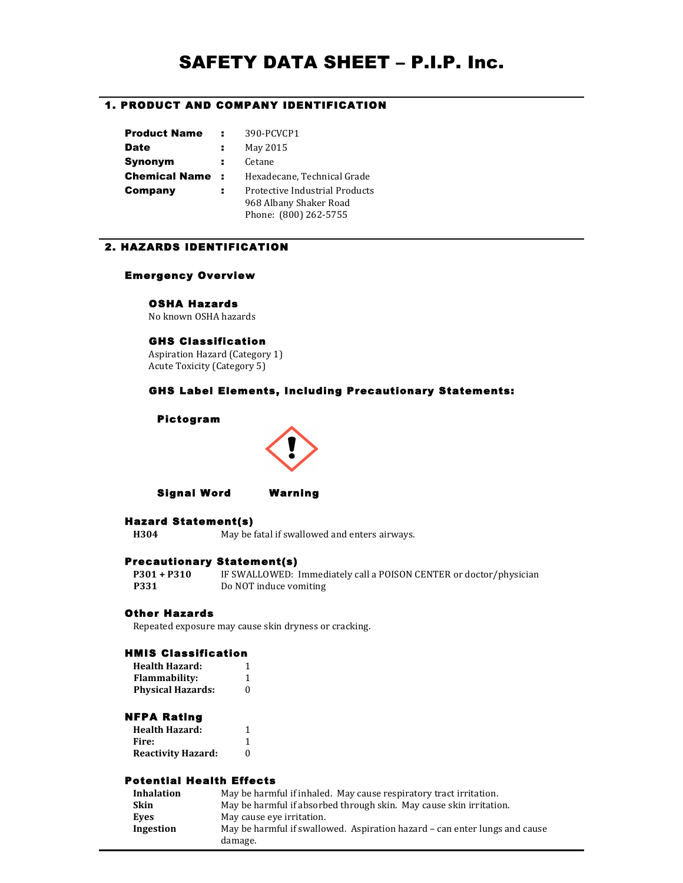# SAFETY DATA SHEET – P.I.P. Inc.

# 1. PRODUCT AND COMPANY IDENTIFICATION

| <b>Product Name</b>  |                | 390-PCVCP1                     |
|----------------------|----------------|--------------------------------|
| <b>Date</b>          | н.             | May 2015                       |
| Synonym              | н              | Cetane                         |
| <b>Chemical Name</b> | $\sim 10^{-1}$ | Hexadecane, Technical Grade    |
| Company              | н              | Protective Industrial Products |
|                      |                | 968 Albany Shaker Road         |
|                      |                | Phone: (800) 262-5755          |

# 2. HAZARDS IDENTIFICATION

# Emergency Overview

# OSHA Hazards

No, known, OSHA, hazards

# GHS Classification

Aspiration Hazard (Category 1) Acute Toxicity (Category 5)

# GHS Label Elements, Including Precautionary Statements:

# Pictogram



Signal Word Warning

# Hazard Statement(s)

**H304** May be fatal if swallowed and enters airways.

# Precautionary Statement(s)

**P301 + P310** IF SWALLOWED: Immediately call a POISON CENTER or doctor/physician **P331** Do NOT induce vomiting

# Other Hazards

Repeated exposure may cause skin dryness or cracking.

# HMIS Classification

| <b>Health Hazard:</b>    |   |
|--------------------------|---|
| <b>Flammability:</b>     |   |
| <b>Physical Hazards:</b> | 0 |

### NFPA Rating

| <b>Health Hazard:</b>     |   |
|---------------------------|---|
| Fire:                     |   |
| <b>Reactivity Hazard:</b> | 0 |

# Potential Health Effects

| <b>Inhalation</b> | May be harmful if inhaled. May cause respiratory tract irritation.         |
|-------------------|----------------------------------------------------------------------------|
| Skin              | May be harmful if absorbed through skin. May cause skin irritation.        |
| Eves              | May cause eye irritation.                                                  |
| Ingestion         | May be harmful if swallowed. Aspiration hazard – can enter lungs and cause |
|                   | damage.                                                                    |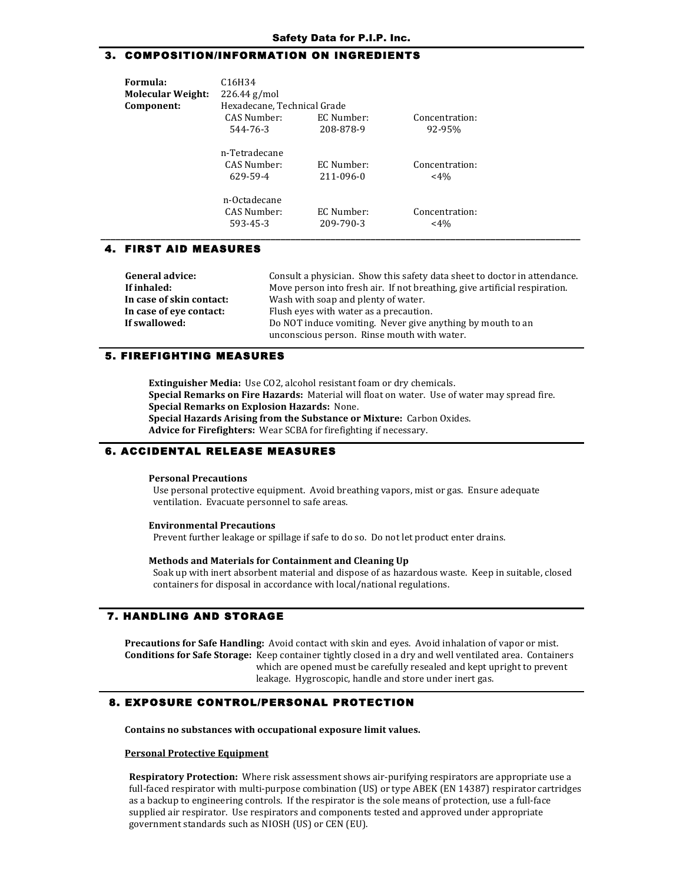# 3. COMPOSITION/INFORMATION ON INGREDIENTS

| Formula:                 | C <sub>16</sub> H <sub>34</sub> |            |                |
|--------------------------|---------------------------------|------------|----------------|
| <b>Molecular Weight:</b> | $226.44$ g/mol                  |            |                |
| Component:               | Hexadecane, Technical Grade     |            |                |
|                          | CAS Number:                     | EC Number: | Concentration: |
|                          | 544-76-3                        | 208-878-9  | 92-95%         |
|                          | n-Tetradecane                   |            |                |
|                          | CAS Number:                     | EC Number: | Concentration: |
|                          | 629-59-4                        | 211-096-0  | $<$ 4%         |
|                          | n-Octadecane                    |            |                |
|                          | CAS Number:                     | EC Number: | Concentration: |
|                          | 593-45-3                        | 209-790-3  | $<$ 4%         |

# 4. FIRST AID MEASURES

| General advice:          | Consult a physician. Show this safety data sheet to doctor in attendance.  |
|--------------------------|----------------------------------------------------------------------------|
| If inhaled:              | Move person into fresh air. If not breathing, give artificial respiration. |
| In case of skin contact: | Wash with soap and plenty of water.                                        |
| In case of eve contact:  | Flush eyes with water as a precaution.                                     |
| If swallowed:            | Do NOT induce vomiting. Never give anything by mouth to an                 |
|                          | unconscious person. Rinse mouth with water.                                |

# **!!**5. FIREFIGHTING MEASURES

**Extinguisher Media:** Use CO2, alcohol resistant foam or dry chemicals. **Special Remarks on Fire Hazards: Material will float on water. Use of water may spread fire. Special Remarks on Explosion Hazards: None. Special Hazards Arising from the Substance or Mixture: Carbon Oxides.** Advice for Firefighters: Wear SCBA for firefighting if necessary.

### **6. ACCIDENTAL RELEASE MEASURES**

#### **Personal!Precautions**

Use personal protective equipment. Avoid breathing vapors, mist or gas. Ensure adequate ventilation. Evacuate personnel to safe areas.

#### **Environmental!Precautions**

Prevent further leakage or spillage if safe to do so. Do not let product enter drains.

#### Methods and Materials for Containment and Cleaning Up

Soak up with inert absorbent material and dispose of as hazardous waste. Keep in suitable, closed containers for disposal in accordance with local/national regulations.

# **7. HANDLING AND STORAGE**

Precautions for Safe Handling: Avoid contact with skin and eyes. Avoid inhalation of vapor or mist. **Conditions for Safe Storage:** Keep container tightly closed in a dry and well ventilated area. Containers which are opened must be carefully resealed and kept upright to prevent leakage. Hygroscopic, handle and store under inert gas.

### 8. EXPOSURE CONTROL/PERSONAL PROTECTION

Contains no substances with occupational exposure limit values.

#### **Personal Protective Equipment**

**Respiratory Protection:** Where risk assessment shows air-purifying respirators are appropriate use a full-faced respirator with multi-purpose combination (US) or type ABEK (EN 14387) respirator cartridges as a backup to engineering controls. If the respirator is the sole means of protection, use a full-face supplied air respirator. Use respirators and components tested and approved under appropriate government standards such as NIOSH (US) or CEN (EU).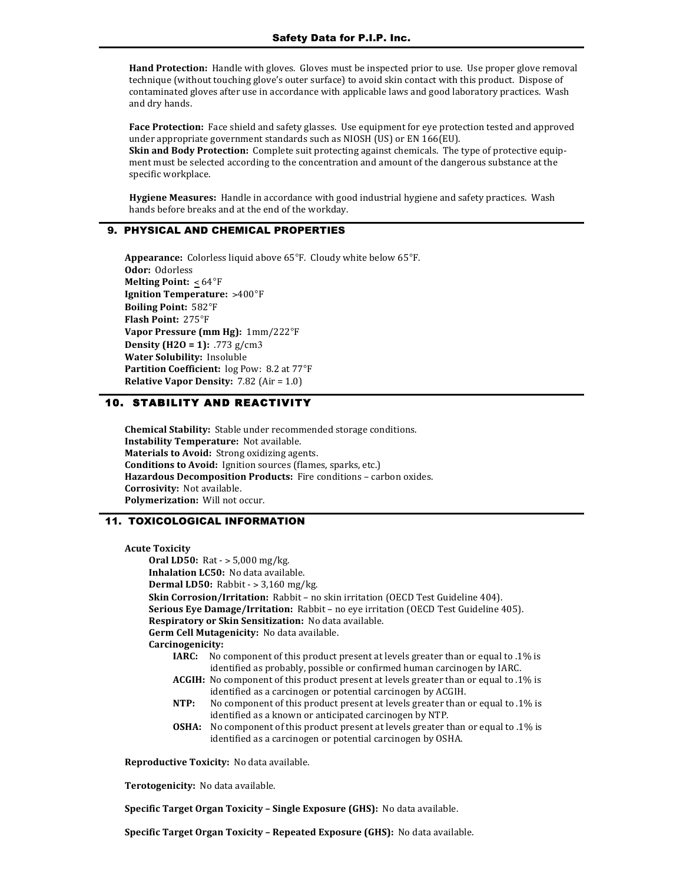**Hand Protection:** Handle with gloves. Gloves must be inspected prior to use. Use proper glove removal technique (without touching glove's outer surface) to avoid skin contact with this product. Dispose of contaminated gloves after use in accordance with applicable laws and good laboratory practices. Wash and dry hands.

Face Protection: Face shield and safety glasses. Use equipment for eye protection tested and approved under appropriate government standards such as NIOSH (US) or EN 166(EU). **Skin and Body Protection:** Complete suit protecting against chemicals. The type of protective equipment must be selected according to the concentration and amount of the dangerous substance at the specific workplace.

**Hygiene Measures:** Handle in accordance with good industrial hygiene and safety practices. Wash hands before breaks and at the end of the workday.

# 9. PHYSICAL AND CHEMICAL PROPERTIES

Appearance: Colorless liquid above 65°F. Cloudy white below 65°F. **Odor: Odorless Melting Point: <64°F Ignition Temperature: >400°F Boiling Point: 582°F Flash Point: 275°F** Vapor Pressure (mm Hg): 1mm/222°F **Density (H2O = 1):**,.773 $g/cm3$ **Water Solubility: Insoluble Partition Coefficient:** log Pow: 8.2 at 77°F **Relative Vapor Density:** 7.82 (Air = 1.0)

# **!!**10. STABILITY AND REACTIVITY

**Chemical Stability:** Stable under recommended storage conditions. **Instability Temperature:** Not available. **Materials to Avoid:** Strong oxidizing agents. **Conditions to Avoid:** Ignition sources (flames, sparks, etc.) Hazardous Decomposition Products: Fire conditions - carbon oxides. **Corrosivity: Not available.** Polymerization: Will not occur.

# 11. TOXICOLOGICAL INFORMATION

#### **Acute!Toxicity**

**Oral LD50:** Rat - > 5,000 mg/kg. **Inhalation LC50:** No data available. **Dermal LD50:** Rabbit - > 3,160 mg/kg. **Skin Corrosion/Irritation:** Rabbit – no skin irritation (OECD Test Guideline 404). **Serious Eye Damage/Irritation:** Rabbit – no eye irritation (OECD Test Guideline 405). Respiratory or Skin Sensitization: No data available. Germ Cell Mutagenicity: No data available. **Carcinogenicity: IARC:** No component of this product present at levels greater than or equal to .1% is identified as probably, possible or confirmed human carcinogen by IARC. ACGIH: No component of this product present at levels greater than or equal to .1% is identified as a carcinogen or potential carcinogen by ACGIH. **NTP:** No component of this product present at levels greater than or equal to .1% is identified as a known or anticipated carcinogen by NTP. **OSHA:** No component of this product present at levels greater than or equal to .1% is identified as a carcinogen or potential carcinogen by OSHA.

Reproductive Toxicity: No data available.

Terotogenicity: No data available.

**Specific Target Organ Toxicity - Single Exposure (GHS):** No data available.

**Specific Target Organ Toxicity - Repeated Exposure (GHS):** No data available.